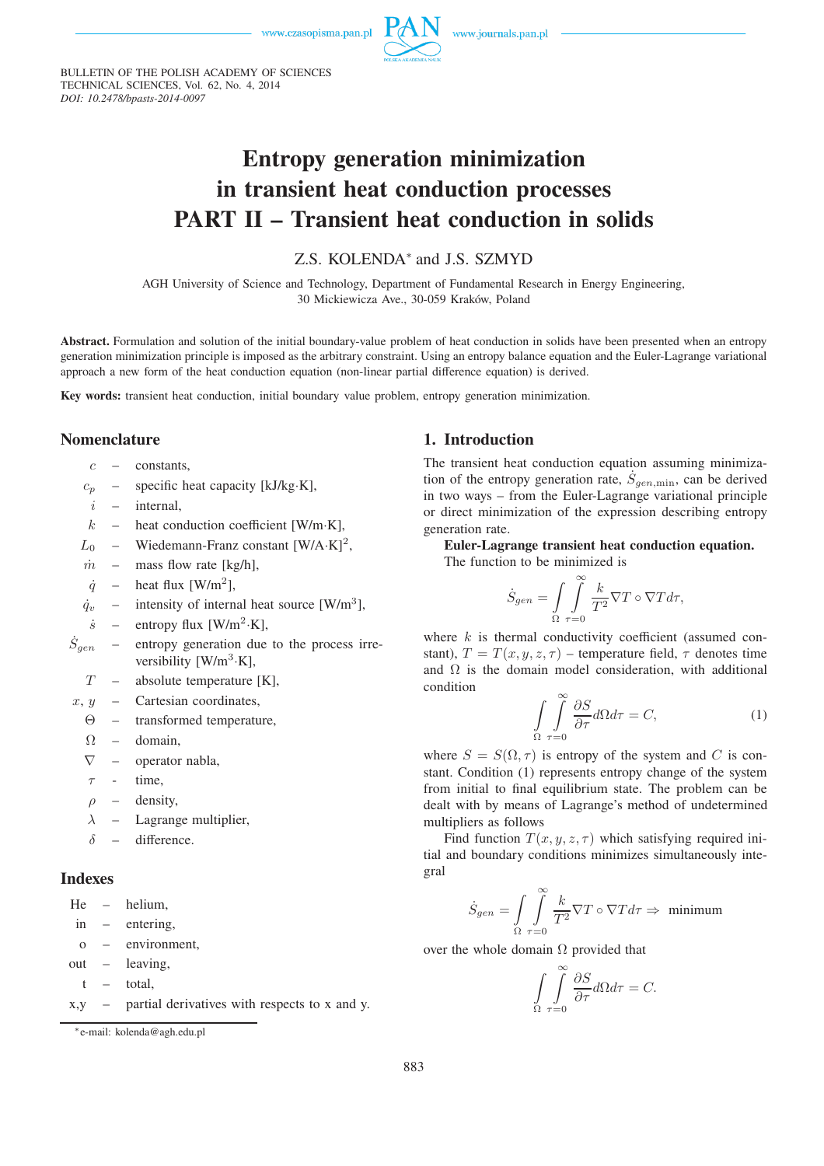www.czasopisma.pan.pl



www.journals.pan.pl

BULLETIN OF THE POLISH ACADEMY OF SCIENCES TECHNICAL SCIENCES, Vol. 62, No. 4, 2014 *DOI: 10.2478/bpasts-2014-0097*

# **Entropy generation minimization in transient heat conduction processes PART II – Transient heat conduction in solids**

# Z.S. KOLENDA<sup>∗</sup> and J.S. SZMYD

AGH University of Science and Technology, Department of Fundamental Research in Energy Engineering, 30 Mickiewicza Ave., 30-059 Kraków, Poland

**Abstract.** Formulation and solution of the initial boundary-value problem of heat conduction in solids have been presented when an entropy generation minimization principle is imposed as the arbitrary constraint. Using an entropy balance equation and the Euler-Lagrange variational approach a new form of the heat conduction equation (non-linear partial difference equation) is derived.

**Key words:** transient heat conduction, initial boundary value problem, entropy generation minimization.

## **Nomenclature**

- $c -$  constants
- $c_p$  specific heat capacity [kJ/kg·K],
- $i$  internal,
- $k$  heat conduction coefficient [W/m·K],
- $L_0$  Wiedemann-Franz constant [W/A·K]<sup>2</sup>,
- $\dot{m}$  mass flow rate [kg/h],
- $\dot{q}$  heat flux [W/m<sup>2</sup>],
- $\dot{q}_v$  intensity of internal heat source [W/m<sup>3</sup>],
- $\dot{s}$  entropy flux [W/m<sup>2</sup>·K],
- $\dot{S}_{gen}$ entropy generation due to the process irreversibility  $[W/m^3 \cdot K]$ ,
	- $T$  absolute temperature [K],
- $x, y$  Cartesian coordinates,
	- Θ transformed temperature,
	- $\Omega$  domain,
	- $\nabla$  operator nabla,
	- $\tau$  time,
	- $\rho$  density,
	- $\lambda$  Lagrange multiplier,
	- $\delta$  difference.

#### **Indexes**

He – helium, in – entering,

- o environment,
- out leaving,
- t total,
- x,y partial derivatives with respects to x and y.

## **1. Introduction**

The transient heat conduction equation assuming minimization of the entropy generation rate,  $\dot{S}_{gen,min}$ , can be derived in two ways – from the Euler-Lagrange variational principle or direct minimization of the expression describing entropy generation rate.

**Euler-Lagrange transient heat conduction equation.**

The function to be minimized is

$$
\dot{S}_{gen} = \int_{\Omega} \int_{\tau=0}^{\infty} \frac{k}{T^2} \nabla T \circ \nabla T d\tau,
$$

where  $k$  is thermal conductivity coefficient (assumed constant),  $T = T(x, y, z, \tau)$  – temperature field,  $\tau$  denotes time and  $\Omega$  is the domain model consideration, with additional condition

$$
\int_{\Omega} \int_{\tau=0}^{\infty} \frac{\partial S}{\partial \tau} d\Omega d\tau = C,\tag{1}
$$

where  $S = S(\Omega, \tau)$  is entropy of the system and C is constant. Condition (1) represents entropy change of the system from initial to final equilibrium state. The problem can be dealt with by means of Lagrange's method of undetermined multipliers as follows

Find function  $T(x, y, z, \tau)$  which satisfying required initial and boundary conditions minimizes simultaneously integral

$$
\dot{S}_{gen} = \int\limits_{\Omega} \int\limits_{\tau = 0}^{\infty} \frac{k}{T^2} \nabla T \circ \nabla T d\tau \Rightarrow \text{ minimum}
$$

over the whole domain  $\Omega$  provided that

$$
\int_{\Omega} \int_{\tau=0}^{\infty} \frac{\partial S}{\partial \tau} d\Omega d\tau = C.
$$

<sup>∗</sup>e-mail: kolenda@agh.edu.pl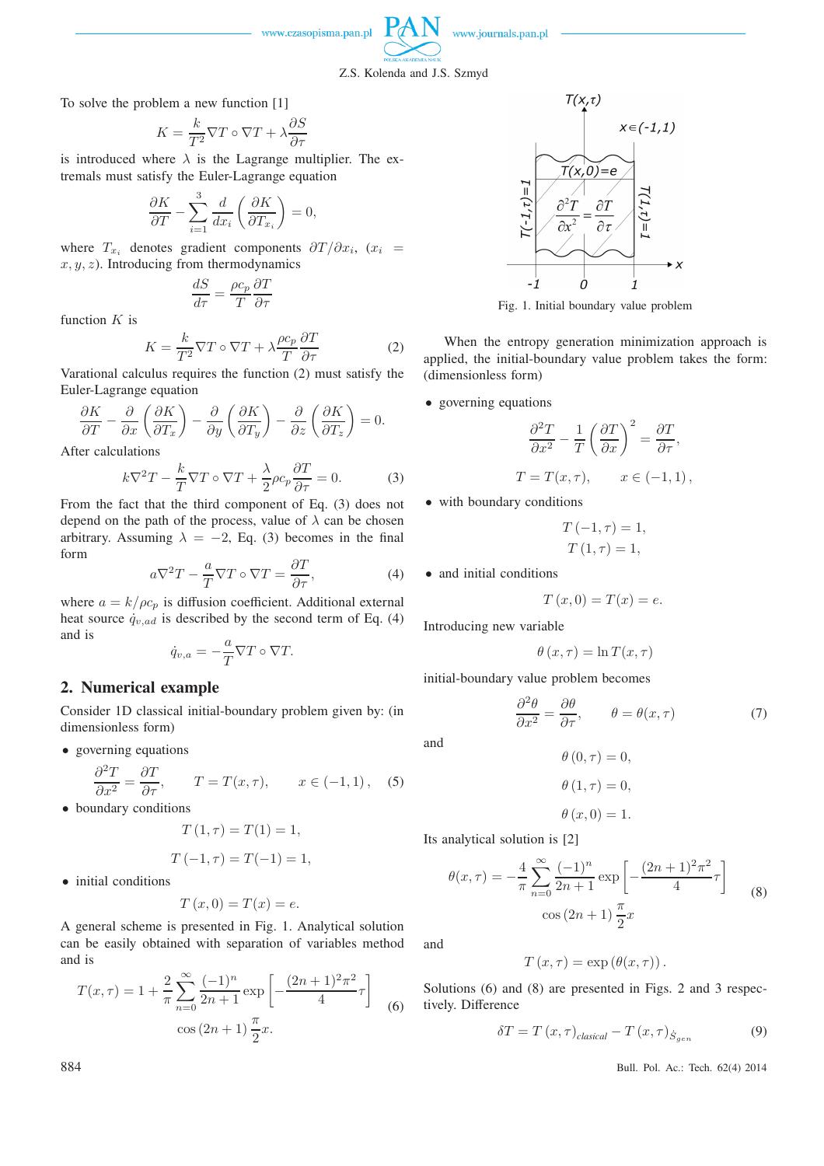

www.journals.pan.pl

#### Z.S. Kolenda and J.S. Szmyd

To solve the problem a new function [1]

$$
K = \frac{k}{T^2} \nabla T \circ \nabla T + \lambda \frac{\partial S}{\partial \tau}
$$

is introduced where  $\lambda$  is the Lagrange multiplier. The extremals must satisfy the Euler-Lagrange equation

$$
\frac{\partial K}{\partial T} - \sum_{i=1}^{3} \frac{d}{dx_i} \left( \frac{\partial K}{\partial T_{x_i}} \right) = 0,
$$

where  $T_{x_i}$  denotes gradient components  $\partial T/\partial x_i$ ,  $(x_i =$  $x, y, z$ ). Introducing from thermodynamics

$$
\frac{dS}{d\tau} = \frac{\rho c_p}{T} \frac{\partial T}{\partial \tau}
$$

function  $K$  is

$$
K = \frac{k}{T^2} \nabla T \circ \nabla T + \lambda \frac{\rho c_p}{T} \frac{\partial T}{\partial \tau}
$$
 (2)

Varational calculus requires the function (2) must satisfy the Euler-Lagrange equation

$$
\frac{\partial K}{\partial T} - \frac{\partial}{\partial x} \left( \frac{\partial K}{\partial T_x} \right) - \frac{\partial}{\partial y} \left( \frac{\partial K}{\partial T_y} \right) - \frac{\partial}{\partial z} \left( \frac{\partial K}{\partial T_z} \right) = 0.
$$

After calculations

$$
k\nabla^2 T - \frac{k}{T}\nabla T \circ \nabla T + \frac{\lambda}{2}\rho c_p \frac{\partial T}{\partial \tau} = 0.
$$
 (3)

From the fact that the third component of Eq. (3) does not depend on the path of the process, value of  $\lambda$  can be chosen arbitrary. Assuming  $\lambda = -2$ , Eq. (3) becomes in the final form

$$
a\nabla^2 T - \frac{a}{T}\nabla T \circ \nabla T = \frac{\partial T}{\partial \tau},\tag{4}
$$

where  $a = k/\rho c_p$  is diffusion coefficient. Additional external heat source  $\dot{q}_{v,ad}$  is described by the second term of Eq. (4) and is

$$
\dot{q}_{v,a} = -\frac{a}{T} \nabla T \circ \nabla T.
$$

# **2. Numerical example**

Consider 1D classical initial-boundary problem given by: (in dimensionless form)

• governing equations

$$
\frac{\partial^2 T}{\partial x^2} = \frac{\partial T}{\partial \tau}, \qquad T = T(x, \tau), \qquad x \in (-1, 1), \quad (5)
$$

• boundary conditions

$$
T(1,\tau) = T(1) = 1,
$$

$$
T(-1, \tau) = T(-1) = 1,
$$

• initial conditions

$$
T(x,0) = T(x) = e.
$$

A general scheme is presented in Fig. 1. Analytical solution can be easily obtained with separation of variables method and is

$$
T(x,\tau) = 1 + \frac{2}{\pi} \sum_{n=0}^{\infty} \frac{(-1)^n}{2n+1} \exp\left[-\frac{(2n+1)^2 \pi^2}{4} \tau\right] \tag{6}
$$

$$
\cos(2n+1) \frac{\pi}{2} x.
$$



Fig. 1. Initial boundary value problem

When the entropy generation minimization approach is applied, the initial-boundary value problem takes the form: (dimensionless form)

• governing equations

$$
\frac{\partial^2 T}{\partial x^2} - \frac{1}{T} \left( \frac{\partial T}{\partial x} \right)^2 = \frac{\partial T}{\partial \tau},
$$
  

$$
T = T(x, \tau), \qquad x \in (-1, 1),
$$

• with boundary conditions

$$
T(-1, \tau) = 1,
$$
  

$$
T(1, \tau) = 1,
$$

• and initial conditions

$$
T(x,0) = T(x) = e.
$$

Introducing new variable

$$
\theta(x,\tau) = \ln T(x,\tau)
$$

initial-boundary value problem becomes

$$
\frac{\partial^2 \theta}{\partial x^2} = \frac{\partial \theta}{\partial \tau}, \qquad \theta = \theta(x, \tau) \tag{7}
$$

and

$$
\theta(0,\tau) = 0,
$$
  

$$
\theta(1,\tau) = 0,
$$

$$
\theta\left( x,0\right) =1.
$$

Its analytical solution is [2]

$$
\theta(x,\tau) = -\frac{4}{\pi} \sum_{n=0}^{\infty} \frac{(-1)^n}{2n+1} \exp\left[-\frac{(2n+1)^2 \pi^2}{4}\tau\right] \qquad (8)
$$

$$
\cos(2n+1)\frac{\pi}{2}x
$$

and

$$
T(x,\tau) = \exp(\theta(x,\tau)).
$$

Solutions (6) and (8) are presented in Figs. 2 and 3 respectively. Difference

$$
\delta T = T(x, \tau)_{classical} - T(x, \tau)_{\dot{S}_{gen}} \tag{9}
$$

884 Bull. Pol. Ac.: Tech. 62(4) 2014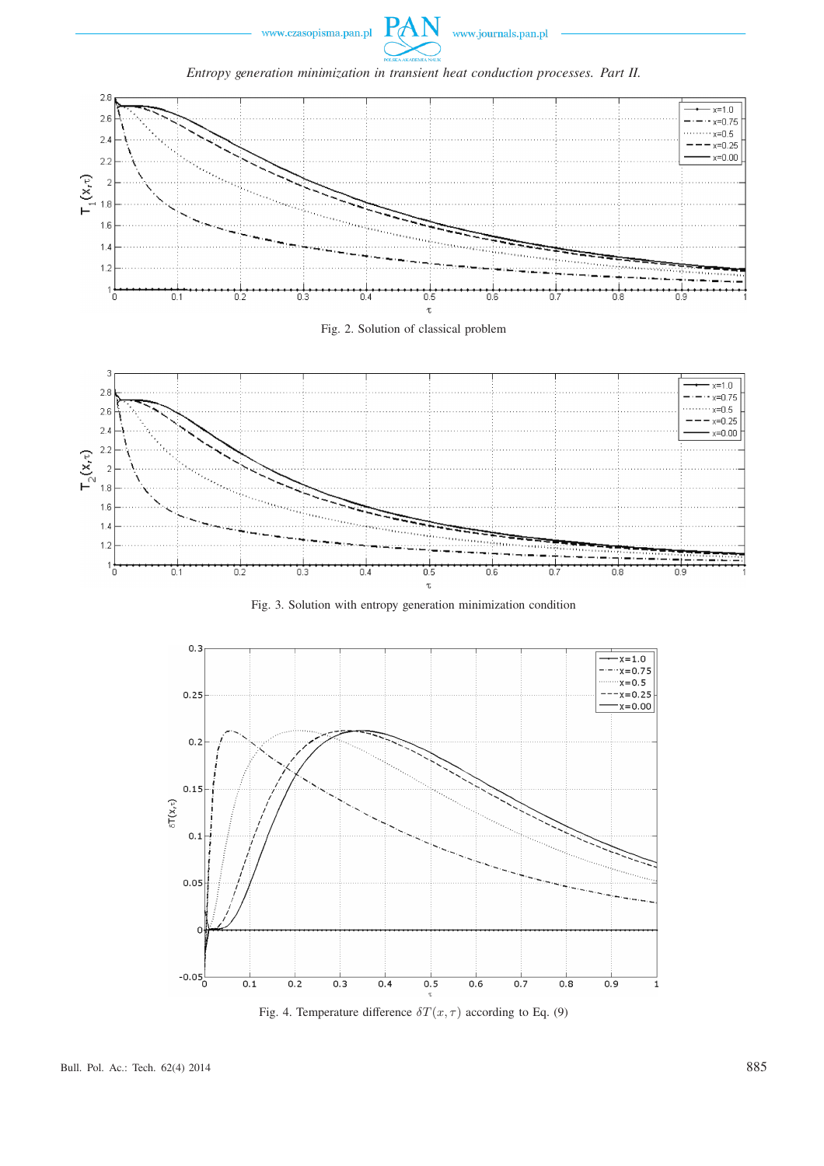











Fig. 3. Solution with entropy generation minimization condition



Fig. 4. Temperature difference  $\delta T(x, \tau)$  according to Eq. (9)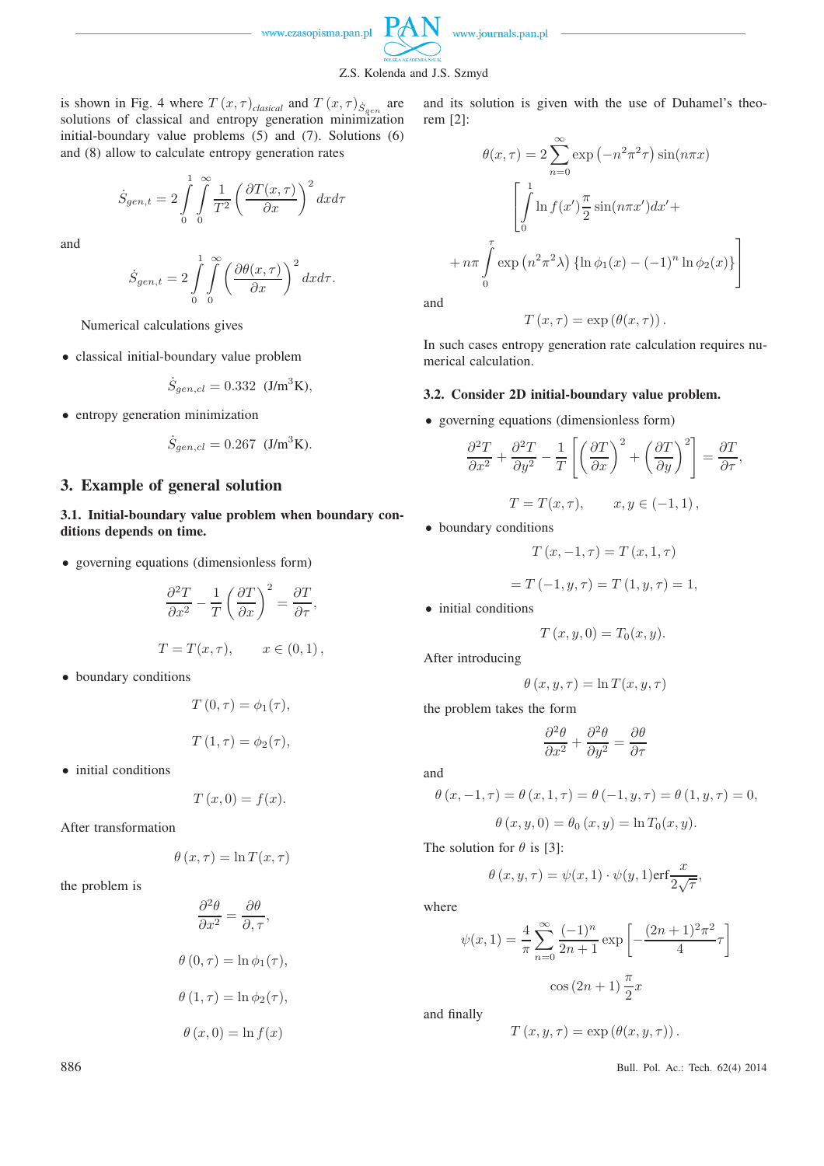

www.journals.pan.pl



is shown in Fig. 4 where  $T(x, \tau)_{classical}$  and  $T(x, \tau)_{\dot{S}_{gen}}$  are solutions of classical and entropy generation minimization initial-boundary value problems (5) and (7). Solutions (6) and (8) allow to calculate entropy generation rates

$$
\dot S_{gen,t} = 2 \int\limits_0^1 \int\limits_0^\infty \frac{1}{T^2} \left(\frac{\partial T(x,\tau)}{\partial x}\right)^2 dxd\tau
$$

and

$$
\dot{S}_{gen,t}=2\int\limits_{0}^{1}\int\limits_{0}^{\infty}\left(\frac{\partial\theta(x,\tau)}{\partial x}\right)^{2}dxd\tau.
$$

Numerical calculations gives

• classical initial-boundary value problem

$$
\dot{S}_{gen,cl} = 0.332 \text{ (J/m}^3\text{K}),
$$

• entropy generation minimization

$$
\dot{S}_{gen,cl} = 0.267
$$
 (J/m<sup>3</sup>K).

#### **3. Example of general solution**

**3.1. Initial-boundary value problem when boundary conditions depends on time.**

• governing equations (dimensionless form)

$$
\frac{\partial^2 T}{\partial x^2} - \frac{1}{T} \left( \frac{\partial T}{\partial x} \right)^2 = \frac{\partial T}{\partial \tau},
$$
  

$$
T = T(x, \tau), \qquad x \in (0, 1),
$$

• boundary conditions

$$
T(0, \tau) = \phi_1(\tau),
$$
  

$$
T(1, \tau) = \phi_2(\tau),
$$

• initial conditions

$$
T(x,0) = f(x).
$$

After transformation

$$
\theta(x,\tau) = \ln T(x,\tau)
$$

the problem is

$$
\frac{\partial^2 \theta}{\partial x^2} = \frac{\partial \theta}{\partial, \tau},
$$
  

$$
\theta(0, \tau) = \ln \phi_1(\tau),
$$
  

$$
\theta(1, \tau) = \ln \phi_2(\tau),
$$
  

$$
\theta(x, 0) = \ln f(x)
$$

and its solution is given with the use of Duhamel's theorem [2]:

$$
\theta(x,\tau) = 2 \sum_{n=0}^{\infty} \exp(-n^2 \pi^2 \tau) \sin(n\pi x)
$$

$$
\left[ \int_{0}^{1} \ln f(x') \frac{\pi}{2} \sin(n\pi x') dx' + \cdots + n\pi \int_{0}^{\tau} \exp(n^2 \pi^2 \lambda) \left\{ \ln \phi_1(x) - (-1)^n \ln \phi_2(x) \right\} \right]
$$

and

$$
T(x,\tau) = \exp(\theta(x,\tau)).
$$

In such cases entropy generation rate calculation requires numerical calculation.

#### **3.2. Consider 2D initial-boundary value problem.**

• governing equations (dimensionless form)

$$
\frac{\partial^2 T}{\partial x^2} + \frac{\partial^2 T}{\partial y^2} - \frac{1}{T} \left[ \left( \frac{\partial T}{\partial x} \right)^2 + \left( \frac{\partial T}{\partial y} \right)^2 \right] = \frac{\partial T}{\partial \tau},
$$
  

$$
T = T(x, \tau), \qquad x, y \in (-1, 1),
$$

• boundary conditions

$$
T(x, -1, \tau) = T(x, 1, \tau)
$$

$$
=T(-1, y, \tau)=T(1, y, \tau)=1.
$$

• initial conditions

$$
T(x, y, 0) = T_0(x, y).
$$

After introducing

$$
\theta(x, y, \tau) = \ln T(x, y, \tau)
$$

the problem takes the form

$$
\frac{\partial^2 \theta}{\partial x^2} + \frac{\partial^2 \theta}{\partial y^2} = \frac{\partial \theta}{\partial \tau}
$$

and

$$
\theta(x, -1, \tau) = \theta(x, 1, \tau) = \theta(-1, y, \tau) = \theta(1, y, \tau) = 0,
$$

$$
\theta(x, y, 0) = \theta_0(x, y) = \ln T_0(x, y).
$$

The solution for  $\theta$  is [3]:

$$
\theta(x, y, \tau) = \psi(x, 1) \cdot \psi(y, 1) \text{erf} \frac{x}{2\sqrt{\tau}},
$$

where

$$
\psi(x,1) = \frac{4}{\pi} \sum_{n=0}^{\infty} \frac{(-1)^n}{2n+1} \exp\left[-\frac{(2n+1)^2 \pi^2}{4} \tau\right]
$$

$$
\cos(2n+1)\frac{\pi}{2}x
$$

and finally

$$
T(x, y, \tau) = \exp(\theta(x, y, \tau)).
$$

886 Bull. Pol. Ac.: Tech. 62(4) 2014